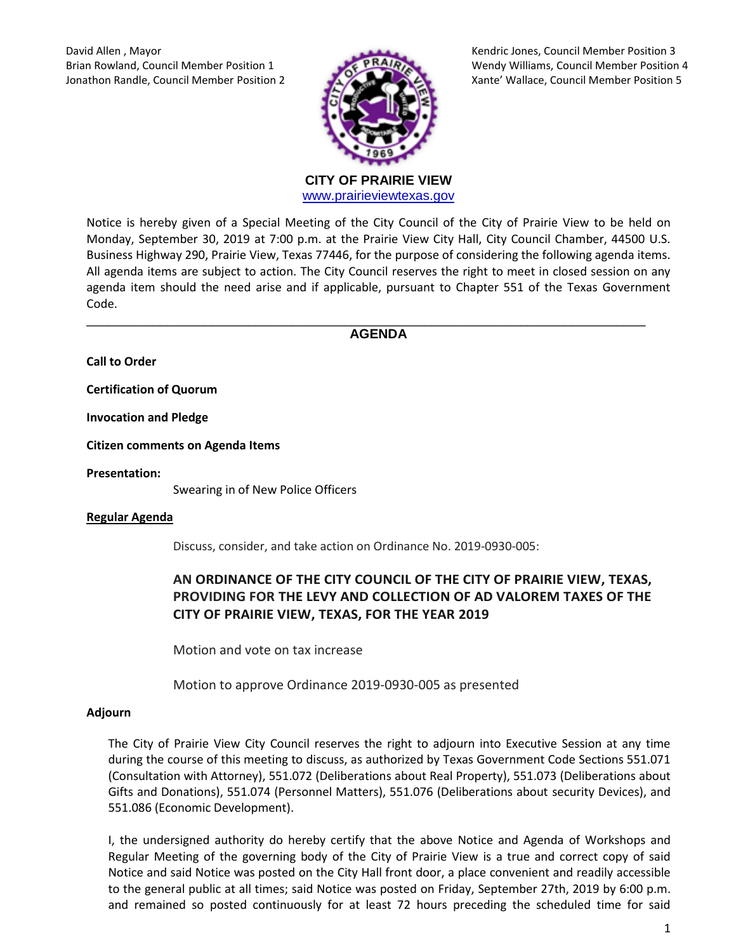David Allen , Mayor Kendric Jones, Council Member Position 3



Brian Rowland, Council Member Position 1 Wendy Williams, Council Member Position 4 Jonathon Randle, Council Member Position 2 Xante' Wallace, Council Member Position 5

> **CITY OF PRAIRIE VIEW**  [www.prairieviewtexas.gov](http://www.prairieviewtexas.gov/)

Notice is hereby given of a Special Meeting of the City Council of the City of Prairie View to be held on Monday, September 30, 2019 at 7:00 p.m. at the Prairie View City Hall, City Council Chamber, 44500 U.S. Business Highway 290, Prairie View, Texas 77446, for the purpose of considering the following agenda items. All agenda items are subject to action. The City Council reserves the right to meet in closed session on any agenda item should the need arise and if applicable, pursuant to Chapter 551 of the Texas Government Code.

\_\_\_\_\_\_\_\_\_\_\_\_\_\_\_\_\_\_\_\_\_\_\_\_\_\_\_\_\_\_\_\_\_\_\_\_\_\_\_\_\_\_\_\_\_\_\_\_\_\_\_\_\_\_\_\_\_\_\_\_\_\_\_\_\_\_\_\_\_\_\_\_\_\_\_\_ **AGENDA**

**Call to Order**

**Certification of Quorum**

**Invocation and Pledge**

**Citizen comments on Agenda Items**

**Presentation:**

Swearing in of New Police Officers

## **Regular Agenda**

Discuss, consider, and take action on Ordinance No. 2019-0930-005:

## **AN ORDINANCE OF THE CITY COUNCIL OF THE CITY OF PRAIRIE VIEW, TEXAS, PROVIDING FOR THE LEVY AND COLLECTION OF AD VALOREM TAXES OF THE CITY OF PRAIRIE VIEW, TEXAS, FOR THE YEAR 2019**

Motion and vote on tax increase

Motion to approve Ordinance 2019-0930-005 as presented

## **Adjourn**

The City of Prairie View City Council reserves the right to adjourn into Executive Session at any time during the course of this meeting to discuss, as authorized by Texas Government Code Sections 551.071 (Consultation with Attorney), 551.072 (Deliberations about Real Property), 551.073 (Deliberations about Gifts and Donations), 551.074 (Personnel Matters), 551.076 (Deliberations about security Devices), and 551.086 (Economic Development).

I, the undersigned authority do hereby certify that the above Notice and Agenda of Workshops and Regular Meeting of the governing body of the City of Prairie View is a true and correct copy of said Notice and said Notice was posted on the City Hall front door, a place convenient and readily accessible to the general public at all times; said Notice was posted on Friday, September 27th, 2019 by 6:00 p.m. and remained so posted continuously for at least 72 hours preceding the scheduled time for said